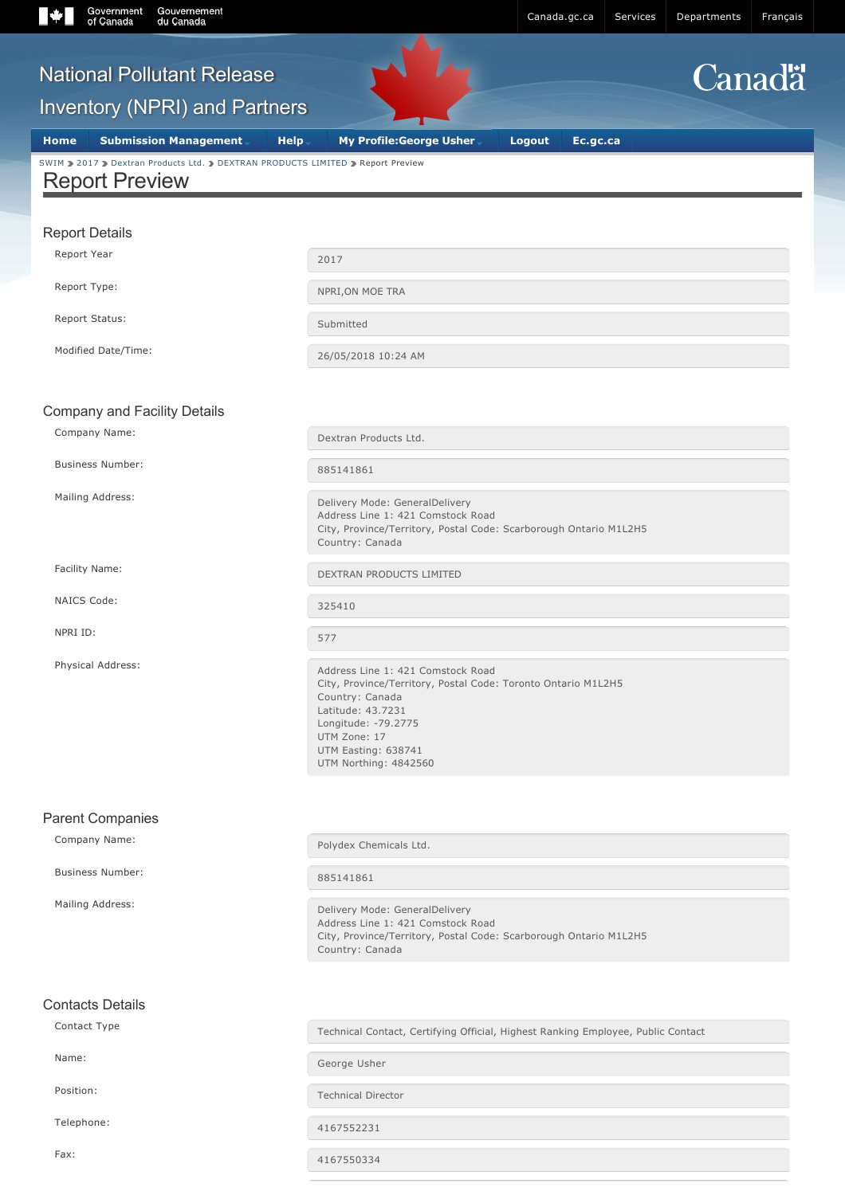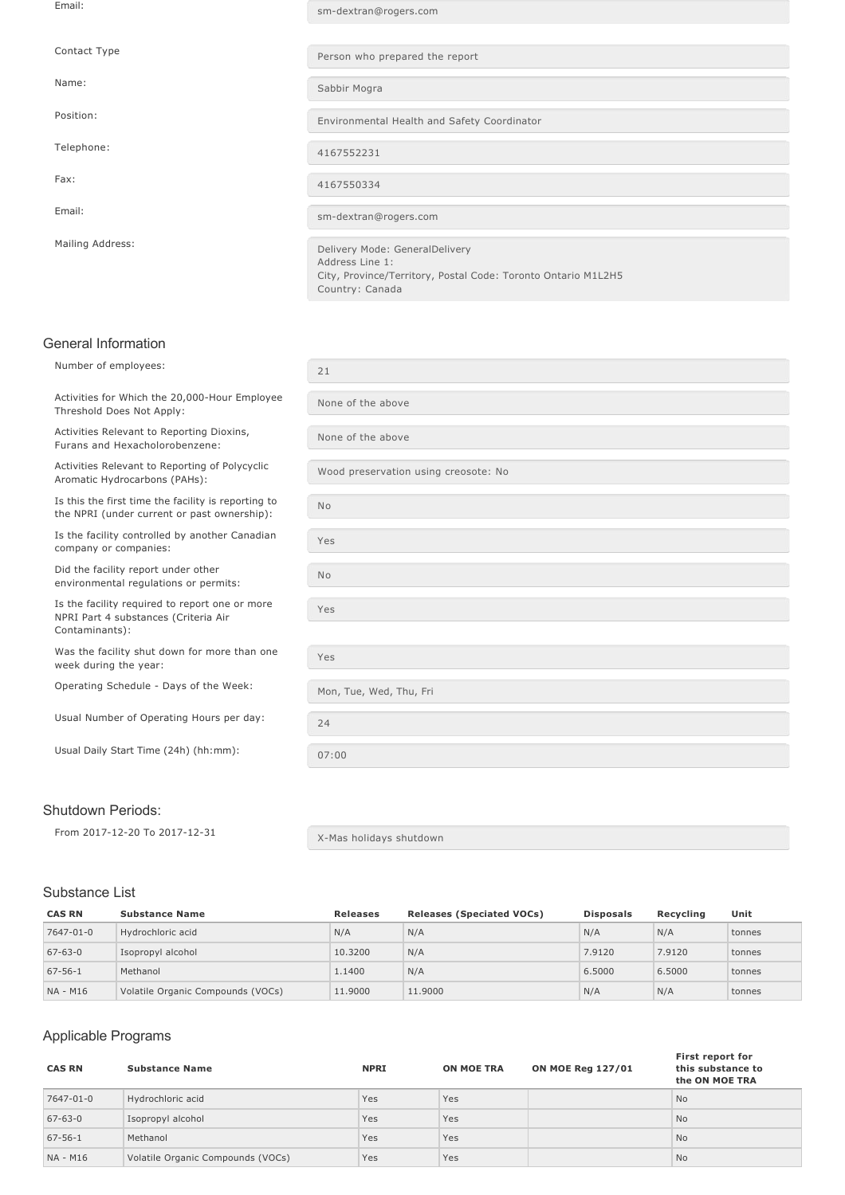| Email:           | sm-dextran@rogers.com                                                                                                                 |
|------------------|---------------------------------------------------------------------------------------------------------------------------------------|
|                  |                                                                                                                                       |
| Contact Type     | Person who prepared the report                                                                                                        |
| Name:            | Sabbir Mogra                                                                                                                          |
| Position:        | Environmental Health and Safety Coordinator                                                                                           |
| Telephone:       | 4167552231                                                                                                                            |
| Fax:             | 4167550334                                                                                                                            |
| Email:           | sm-dextran@rogers.com                                                                                                                 |
| Mailing Address: | Delivery Mode: GeneralDelivery<br>Address Line 1:<br>City, Province/Territory, Postal Code: Toronto Ontario M1L2H5<br>Country: Canada |

# General Information

| Number of employees:                                                                                     | 21                                   |
|----------------------------------------------------------------------------------------------------------|--------------------------------------|
| Activities for Which the 20,000-Hour Employee<br>Threshold Does Not Apply:                               | None of the above                    |
| Activities Relevant to Reporting Dioxins,<br>Furans and Hexacholorobenzene:                              | None of the above                    |
| Activities Relevant to Reporting of Polycyclic<br>Aromatic Hydrocarbons (PAHs):                          | Wood preservation using creosote: No |
| Is this the first time the facility is reporting to<br>the NPRI (under current or past ownership):       | <b>No</b>                            |
| Is the facility controlled by another Canadian<br>company or companies:                                  | Yes                                  |
| Did the facility report under other<br>environmental regulations or permits:                             | <b>No</b>                            |
| Is the facility required to report one or more<br>NPRI Part 4 substances (Criteria Air<br>Contaminants): | Yes                                  |
| Was the facility shut down for more than one<br>week during the year:                                    | Yes                                  |
| Operating Schedule - Days of the Week:                                                                   | Mon, Tue, Wed, Thu, Fri              |
| Usual Number of Operating Hours per day:                                                                 | 24                                   |
| Usual Daily Start Time (24h) (hh:mm):                                                                    | 07:00                                |
|                                                                                                          |                                      |

## Shutdown Periods:

From 2017-12-20 To 2017-12-31  $X$ -Mas holidays shutdown

### Substance List

| <b>CAS RN</b> | <b>Substance Name</b>             | <b>Releases</b> | <b>Releases (Speciated VOCs)</b> | <b>Disposals</b> | Recvcling | Unit   |
|---------------|-----------------------------------|-----------------|----------------------------------|------------------|-----------|--------|
| 7647-01-0     | Hydrochloric acid                 | N/A             | N/A                              | N/A              | N/A       | tonnes |
| $67 - 63 - 0$ | Isopropyl alcohol                 | 10.3200         | N/A                              | 7.9120           | 7.9120    | tonnes |
| $67 - 56 - 1$ | Methanol                          | 1.1400          | N/A                              | 6.5000           | 6.5000    | tonnes |
| NA - M16      | Volatile Organic Compounds (VOCs) | 11,9000         | 11,9000                          | N/A              | N/A       | tonnes |

# Applicable Programs

| <b>CAS RN</b> | <b>Substance Name</b>             | <b>NPRI</b> | <b>ON MOE TRA</b> | <b>ON MOE Reg 127/01</b> | First report for<br>this substance to<br>the ON MOE TRA |
|---------------|-----------------------------------|-------------|-------------------|--------------------------|---------------------------------------------------------|
| 7647-01-0     | Hydrochloric acid                 | Yes         | Yes               |                          | <b>No</b>                                               |
| $67 - 63 - 0$ | Isopropyl alcohol                 | Yes         | Yes               |                          | <b>No</b>                                               |
| $67 - 56 - 1$ | Methanol                          | Yes         | Yes               |                          | <b>No</b>                                               |
| NA - M16      | Volatile Organic Compounds (VOCs) | Yes         | Yes               |                          | <b>No</b>                                               |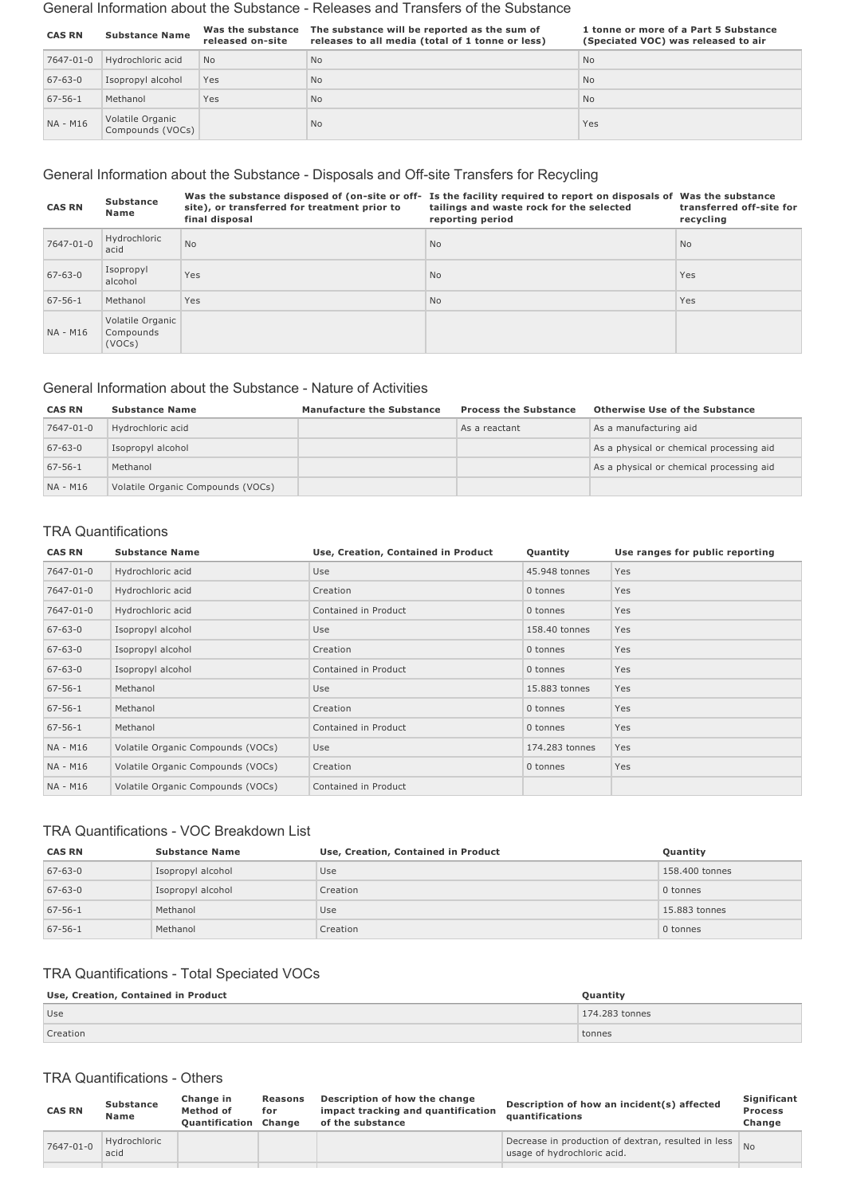#### General Information about the Substance Releases and Transfers of the Substance

| <b>CAS RN</b> | <b>Substance Name</b>                | Was the substance<br>released on-site | The substance will be reported as the sum of<br>releases to all media (total of 1 tonne or less) | 1 tonne or more of a Part 5 Substance<br>(Speciated VOC) was released to air |
|---------------|--------------------------------------|---------------------------------------|--------------------------------------------------------------------------------------------------|------------------------------------------------------------------------------|
| 7647-01-0     | Hydrochloric acid                    | <b>No</b>                             | <b>No</b>                                                                                        | <b>No</b>                                                                    |
| $67 - 63 - 0$ | Isopropyl alcohol                    | Yes                                   | <b>No</b>                                                                                        | <b>No</b>                                                                    |
| $67 - 56 - 1$ | Methanol                             | Yes                                   | <b>No</b>                                                                                        | <b>No</b>                                                                    |
| NA - M16      | Volatile Organic<br>Compounds (VOCs) |                                       | <b>No</b>                                                                                        | Yes                                                                          |

# General Information about the Substance - Disposals and Off-site Transfers for Recycling

| <b>CAS RN</b> | <b>Substance</b><br>Name                | site), or transferred for treatment prior to<br>final disposal | Was the substance disposed of (on-site or off- Is the facility required to report on disposals of Was the substance<br>tailings and waste rock for the selected<br>reporting period | transferred off-site for<br>recycling |
|---------------|-----------------------------------------|----------------------------------------------------------------|-------------------------------------------------------------------------------------------------------------------------------------------------------------------------------------|---------------------------------------|
| 7647-01-0     | Hydrochloric<br>acid                    | <b>No</b>                                                      | N <sub>o</sub>                                                                                                                                                                      | No.                                   |
| $67 - 63 - 0$ | Isopropyl<br>alcohol                    | Yes                                                            | <b>No</b>                                                                                                                                                                           | Yes                                   |
| $67 - 56 - 1$ | Methanol                                | Yes                                                            | N <sub>o</sub>                                                                                                                                                                      | Yes                                   |
| NA - M16      | Volatile Organic<br>Compounds<br>(VOCs) |                                                                |                                                                                                                                                                                     |                                       |

### General Information about the Substance Nature of Activities

| <b>CAS RN</b> | <b>Substance Name</b>             | <b>Manufacture the Substance</b> | <b>Process the Substance</b> | <b>Otherwise Use of the Substance</b>    |
|---------------|-----------------------------------|----------------------------------|------------------------------|------------------------------------------|
| 7647-01-0     | Hydrochloric acid                 |                                  | As a reactant                | As a manufacturing aid                   |
| $67 - 63 - 0$ | Isopropyl alcohol                 |                                  |                              | As a physical or chemical processing aid |
| $67 - 56 - 1$ | Methanol                          |                                  |                              | As a physical or chemical processing aid |
| NA - M16      | Volatile Organic Compounds (VOCs) |                                  |                              |                                          |

### TRA Quantifications

| <b>CAS RN</b> | <b>Substance Name</b>             | Use, Creation, Contained in Product | Quantity       | Use ranges for public reporting |
|---------------|-----------------------------------|-------------------------------------|----------------|---------------------------------|
| 7647-01-0     | Hydrochloric acid                 | Use                                 | 45.948 tonnes  | Yes                             |
| 7647-01-0     | Hydrochloric acid                 | Creation                            | 0 tonnes       | Yes                             |
| 7647-01-0     | Hydrochloric acid                 | Contained in Product                | 0 tonnes       | Yes                             |
| $67 - 63 - 0$ | Isopropyl alcohol                 | Use                                 | 158.40 tonnes  | Yes                             |
| $67 - 63 - 0$ | Isopropyl alcohol                 | Creation                            | 0 tonnes       | Yes                             |
| $67 - 63 - 0$ | Isopropyl alcohol                 | Contained in Product                | 0 tonnes       | Yes                             |
| $67 - 56 - 1$ | Methanol                          | Use                                 | 15,883 tonnes  | Yes                             |
| $67 - 56 - 1$ | Methanol                          | Creation                            | 0 tonnes       | Yes                             |
| $67 - 56 - 1$ | Methanol                          | Contained in Product                | 0 tonnes       | Yes                             |
| NA - M16      | Volatile Organic Compounds (VOCs) | Use                                 | 174.283 tonnes | Yes                             |
| NA - M16      | Volatile Organic Compounds (VOCs) | Creation                            | 0 tonnes       | Yes                             |
| NA - M16      | Volatile Organic Compounds (VOCs) | Contained in Product                |                |                                 |

# TRA Quantifications VOC Breakdown List

| <b>CAS RN</b> | <b>Substance Name</b> | Use, Creation, Contained in Product | Quantity       |
|---------------|-----------------------|-------------------------------------|----------------|
| $67 - 63 - 0$ | Isopropyl alcohol     | Use                                 | 158,400 tonnes |
| $67 - 63 - 0$ | Isopropyl alcohol     | Creation                            | 0 tonnes       |
| $67 - 56 - 1$ | Methanol              | Use                                 | 15.883 tonnes  |
| $67 - 56 - 1$ | Methanol              | Creation                            | 0 tonnes       |

# TRA Quantifications - Total Speciated VOCs

| Use, Creation, Contained in Product | Ouantity       |
|-------------------------------------|----------------|
| <b>Use</b>                          | 174.283 tonnes |
| Creation                            | tonnes         |

#### TRA Quantifications - Others

| <b>CAS RN</b> | <b>Substance</b><br>Name | Change in<br>Method of<br><b>Quantification Change</b> | Reasons<br>for | Description of how the change<br>impact tracking and quantification<br>of the substance | Description of how an incident(s) affected<br>quantifications                      | Significant<br><b>Process</b><br>Change |
|---------------|--------------------------|--------------------------------------------------------|----------------|-----------------------------------------------------------------------------------------|------------------------------------------------------------------------------------|-----------------------------------------|
| 7647-01-0     | Hydrochloric<br>acid     |                                                        |                |                                                                                         | Decrease in production of dextran, resulted in less<br>usage of hydrochloric acid. | <b>No</b>                               |
|               |                          |                                                        |                |                                                                                         |                                                                                    |                                         |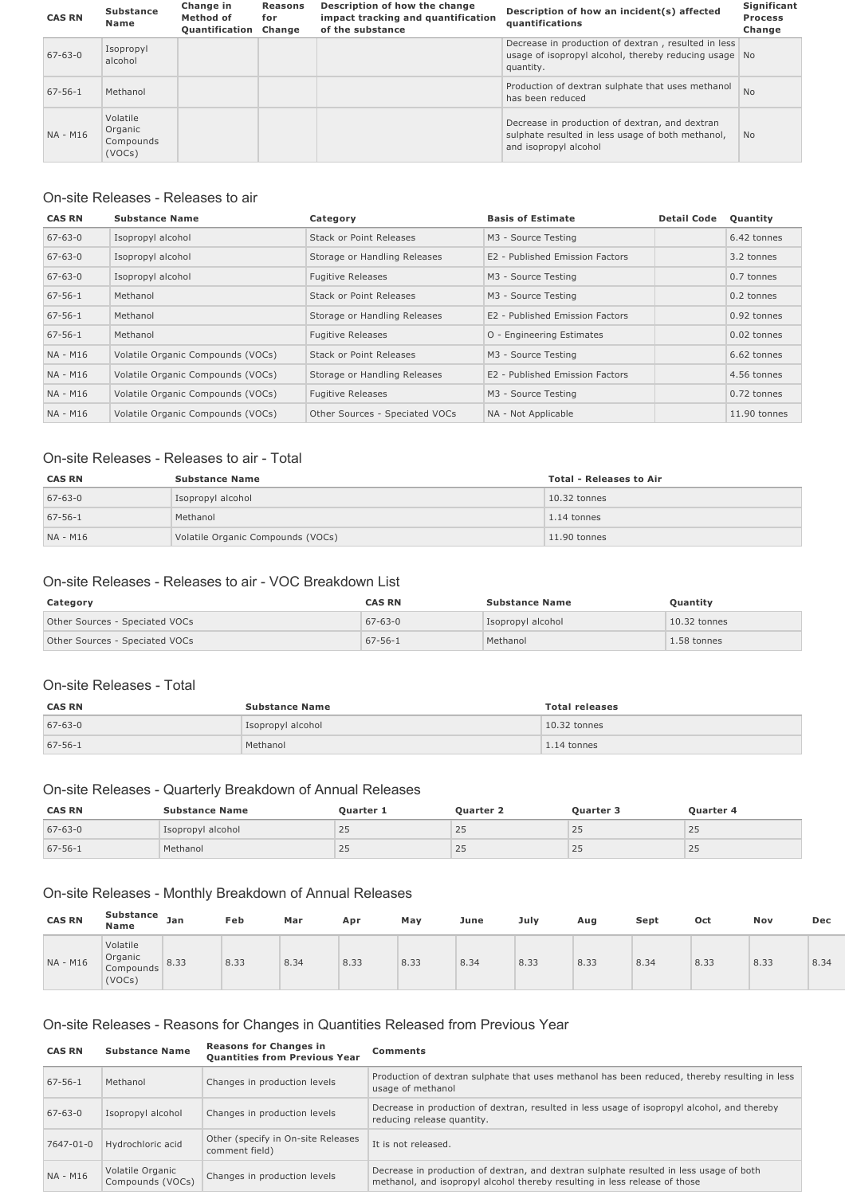| <b>CAS RN</b> | <b>Substance</b><br>Name                   | Change in<br>Method of<br><b>Quantification Change</b> | <b>Reasons</b><br>for | Description of how the change<br>impact tracking and quantification<br>of the substance | Description of how an incident(s) affected<br>quantifications                                                                | Significant<br><b>Process</b><br>Change |
|---------------|--------------------------------------------|--------------------------------------------------------|-----------------------|-----------------------------------------------------------------------------------------|------------------------------------------------------------------------------------------------------------------------------|-----------------------------------------|
| $67 - 63 - 0$ | Isopropyl<br>alcohol                       |                                                        |                       |                                                                                         | Decrease in production of dextran, resulted in less<br>usage of isopropyl alcohol, thereby reducing usage No<br>quantity.    |                                         |
| $67 - 56 - 1$ | Methanol                                   |                                                        |                       |                                                                                         | Production of dextran sulphate that uses methanol<br>has been reduced                                                        | <b>No</b>                               |
| NA - M16      | Volatile<br>Organic<br>Compounds<br>(VOCs) |                                                        |                       |                                                                                         | Decrease in production of dextran, and dextran<br>sulphate resulted in less usage of both methanol,<br>and isopropyl alcohol | N <sub>o</sub>                          |

# On-site Releases - Releases to air

| <b>CAS RN</b> | <b>Substance Name</b>             | Category                       | <b>Basis of Estimate</b>        | <b>Detail Code</b> | Quantity     |
|---------------|-----------------------------------|--------------------------------|---------------------------------|--------------------|--------------|
| $67 - 63 - 0$ | Isopropyl alcohol                 | Stack or Point Releases        | M3 - Source Testing             |                    | 6.42 tonnes  |
| $67 - 63 - 0$ | Isopropyl alcohol                 | Storage or Handling Releases   | E2 - Published Emission Factors |                    | 3.2 tonnes   |
| $67 - 63 - 0$ | Isopropyl alcohol                 | <b>Fugitive Releases</b>       | M3 - Source Testing             |                    | 0.7 tonnes   |
| $67 - 56 - 1$ | Methanol                          | Stack or Point Releases        | M3 - Source Testing             |                    | 0.2 tonnes   |
| $67 - 56 - 1$ | Methanol                          | Storage or Handling Releases   | E2 - Published Emission Factors |                    | 0.92 tonnes  |
| $67 - 56 - 1$ | Methanol                          | <b>Fugitive Releases</b>       | O - Engineering Estimates       |                    | 0.02 tonnes  |
| NA - M16      | Volatile Organic Compounds (VOCs) | Stack or Point Releases        | M3 - Source Testing             |                    | 6.62 tonnes  |
| NA - M16      | Volatile Organic Compounds (VOCs) | Storage or Handling Releases   | E2 - Published Emission Factors |                    | 4.56 tonnes  |
| NA - M16      | Volatile Organic Compounds (VOCs) | <b>Fugitive Releases</b>       | M3 - Source Testing             |                    | 0.72 tonnes  |
| NA - M16      | Volatile Organic Compounds (VOCs) | Other Sources - Speciated VOCs | NA - Not Applicable             |                    | 11.90 tonnes |

# On-site Releases - Releases to air - Total

| <b>CAS RN</b> | <b>Substance Name</b>             | <b>Total - Releases to Air</b> |
|---------------|-----------------------------------|--------------------------------|
| $67 - 63 - 0$ | Isopropyl alcohol                 | $10.32$ tonnes                 |
| $67 - 56 - 1$ | Methanol                          | 1.14 tonnes                    |
| NA - M16      | Volatile Organic Compounds (VOCs) | $11.90$ tonnes                 |

## On-site Releases - Releases to air - VOC Breakdown List

| Category                       | <b>CAS RN</b> | <b>Substance Name</b> | Quantity       |
|--------------------------------|---------------|-----------------------|----------------|
| Other Sources - Speciated VOCs | $67 - 63 - 0$ | Isopropyl alcohol     | $10.32$ tonnes |
| Other Sources - Speciated VOCs | $67 - 56 - 1$ | Methanol              | 1.58 tonnes    |

### On-site Releases - Total

| <b>CAS RN</b> | <b>Substance Name</b> | <b>Total releases</b> |
|---------------|-----------------------|-----------------------|
| $67 - 63 - 0$ | Isopropyl alcohol     | $10.32$ tonnes        |
| $67 - 56 - 1$ | Methanol              | $1.14$ tonnes         |

# On-site Releases - Quarterly Breakdown of Annual Releases

| <b>CAS RN</b> | <b>Substance Name</b> | <b>Ouarter</b> | Ouarter ∠ | Ouarter 5 | Ouarter 4 |
|---------------|-----------------------|----------------|-----------|-----------|-----------|
| $67 - 63 - 0$ | Isopropyl alcohol     | رے             | ل کے      | 25        | بے        |
| $67 - 56 - 1$ | Methanol              | رے             | ر ے       | 25        | رے        |

# On-site Releases - Monthly Breakdown of Annual Releases

| <b>CAS RN</b> | <b>Substance</b><br><b>Name</b>            | Jan  | Feb  | Mar  | Apr  | May  | June | July | Aug  | Sept | Oct  | Nov  | Dec  |
|---------------|--------------------------------------------|------|------|------|------|------|------|------|------|------|------|------|------|
| NA - M16      | Volatile<br>Organic<br>Compounds<br>(VOCs) | 8.33 | 8.33 | 8.34 | 8.33 | 8.33 | 8.34 | 8.33 | 8.33 | 8.34 | 8.33 | 8.33 | 8.34 |

# On-site Releases - Reasons for Changes in Quantities Released from Previous Year

| <b>CAS RN</b> | <b>Substance Name</b>                | <b>Reasons for Changes in</b><br><b>Quantities from Previous Year</b> | <b>Comments</b>                                                                                                                                                      |
|---------------|--------------------------------------|-----------------------------------------------------------------------|----------------------------------------------------------------------------------------------------------------------------------------------------------------------|
| $67 - 56 - 1$ | Methanol                             | Changes in production levels                                          | Production of dextran sulphate that uses methanol has been reduced, thereby resulting in less<br>usage of methanol                                                   |
| $67 - 63 - 0$ | Isopropyl alcohol                    | Changes in production levels                                          | Decrease in production of dextran, resulted in less usage of isopropyl alcohol, and thereby<br>reducing release quantity.                                            |
| 7647-01-0     | Hydrochloric acid                    | Other (specify in On-site Releases<br>comment field)                  | It is not released.                                                                                                                                                  |
| NA - M16      | Volatile Organic<br>Compounds (VOCs) | Changes in production levels                                          | Decrease in production of dextran, and dextran sulphate resulted in less usage of both<br>methanol, and isopropyl alcohol thereby resulting in less release of those |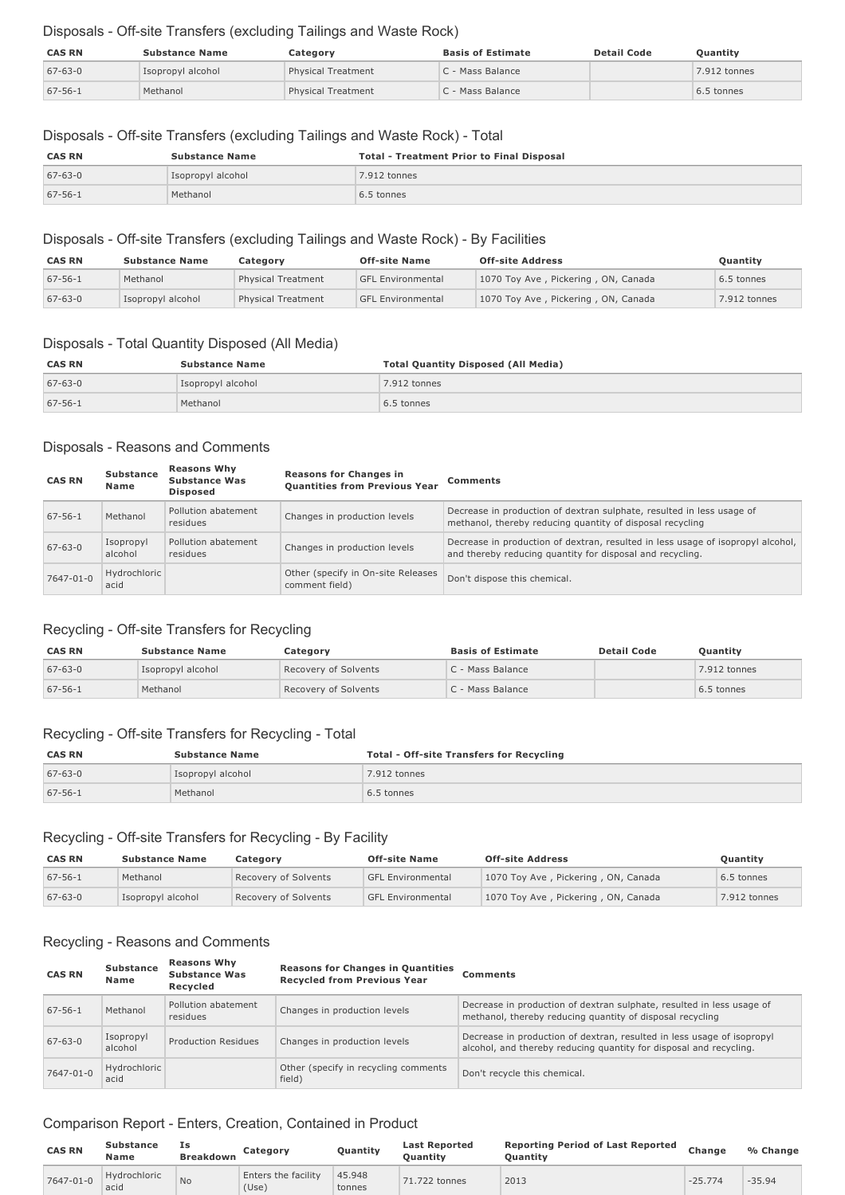### Disposals - Off-site Transfers (excluding Tailings and Waste Rock)

| <b>CAS RN</b> | <b>Substance Name</b> | Category                  | <b>Basis of Estimate</b> | <b>Detail Code</b> | Quantity     |
|---------------|-----------------------|---------------------------|--------------------------|--------------------|--------------|
| $67 - 63 - 0$ | Isopropyl alcohol     | <b>Physical Treatment</b> | C - Mass Balance         |                    | 7.912 tonnes |
| $67 - 56 - 1$ | Methanol              | <b>Physical Treatment</b> | C - Mass Balance         |                    | 6.5 tonnes   |

#### Disposals - Off-site Transfers (excluding Tailings and Waste Rock) - Total

| <b>CAS RN</b> | <b>Substance Name</b> | <b>Total - Treatment Prior to Final Disposal</b> |
|---------------|-----------------------|--------------------------------------------------|
| $67 - 63 - 0$ | Isopropyl alcohol     | 7.912 tonnes                                     |
| $67 - 56 - 1$ | Methanol              | 6.5 tonnes                                       |

#### Disposals - Off-site Transfers (excluding Tailings and Waste Rock) - By Facilities

| <b>CAS RN</b> | <b>Substance Name</b> | Categorv           | <b>Off-site Name</b>     | <b>Off-site Address</b>             | Quantity     |
|---------------|-----------------------|--------------------|--------------------------|-------------------------------------|--------------|
| $67 - 56 - 1$ | Methanol              | Physical Treatment | <b>GFL Environmental</b> | 1070 Toy Ave, Pickering, ON, Canada | 6.5 tonnes   |
| $67 - 63 - 0$ | Isopropyl alcohol     | Physical Treatment | <b>GFL Environmental</b> | 1070 Toy Ave, Pickering, ON, Canada | 7.912 tonnes |

#### Disposals - Total Quantity Disposed (All Media)

| <b>CAS RN</b> | <b>Substance Name</b> | <b>Total Quantity Disposed (All Media)</b> |
|---------------|-----------------------|--------------------------------------------|
| $67 - 63 - 0$ | Isopropyl alcohol     | 7.912 tonnes                               |
| $67 - 56 - 1$ | Methanol              | 6.5 tonnes                                 |

### Disposals - Reasons and Comments

| <b>CAS RN</b> | <b>Substance</b><br>Name | <b>Reasons Why</b><br><b>Substance Was</b><br><b>Disposed</b> | <b>Reasons for Changes in</b><br><b>Ouantities from Previous Year</b> | <b>Comments</b>                                                                                                                              |
|---------------|--------------------------|---------------------------------------------------------------|-----------------------------------------------------------------------|----------------------------------------------------------------------------------------------------------------------------------------------|
| $67 - 56 - 1$ | Methanol                 | Pollution abatement<br>residues                               | Changes in production levels                                          | Decrease in production of dextran sulphate, resulted in less usage of<br>methanol, thereby reducing quantity of disposal recycling           |
| $67 - 63 - 0$ | Isopropyl<br>alcohol     | Pollution abatement<br>residues                               | Changes in production levels                                          | Decrease in production of dextran, resulted in less usage of isopropyl alcohol,<br>and thereby reducing quantity for disposal and recycling. |
| 7647-01-0     | Hydrochloric<br>acid     |                                                               | Other (specify in On-site Releases<br>comment field)                  | Don't dispose this chemical.                                                                                                                 |

### Recycling - Off-site Transfers for Recycling

| <b>CAS RN</b> | <b>Substance Name</b> | Category             | <b>Basis of Estimate</b> | <b>Detail Code</b> | <b>Ouantity</b> |
|---------------|-----------------------|----------------------|--------------------------|--------------------|-----------------|
| $67 - 63 - 0$ | Isopropyl alcohol     | Recovery of Solvents | C - Mass Balance         |                    | 7.912 tonnes    |
| $67 - 56 - 1$ | Methanol              | Recovery of Solvents | C - Mass Balance         |                    | 6.5 tonnes      |

#### Recycling - Off-site Transfers for Recycling - Total

| <b>CAS RN</b> | <b>Substance Name</b> | <b>Total - Off-site Transfers for Recycling</b> |
|---------------|-----------------------|-------------------------------------------------|
| $67 - 63 - 0$ | Isopropyl alcohol     | 7.912 tonnes                                    |
| $67 - 56 - 1$ | Methanol              | 6.5 tonnes                                      |

### Recycling - Off-site Transfers for Recycling - By Facility

| <b>CAS RN</b> | <b>Substance Name</b> | Categorv             | <b>Off-site Name</b>     | <b>Off-site Address</b>             | Quantity     |
|---------------|-----------------------|----------------------|--------------------------|-------------------------------------|--------------|
| 67-56-1       | Methanol              | Recovery of Solvents | <b>GFL Environmental</b> | 1070 Toy Ave, Pickering, ON, Canada | 6.5 tonnes   |
| $67 - 63 - 0$ | Isopropyl alcohol     | Recovery of Solvents | <b>GFL Environmental</b> | 1070 Toy Ave, Pickering, ON, Canada | 7.912 tonnes |

### Recycling - Reasons and Comments

| <b>CAS RN</b> | <b>Substance</b><br>Name | <b>Reasons Why</b><br><b>Substance Was</b><br><b>Recvcled</b> | <b>Reasons for Changes in Quantities</b><br><b>Recycled from Previous Year</b> | <b>Comments</b>                                                                                                                              |
|---------------|--------------------------|---------------------------------------------------------------|--------------------------------------------------------------------------------|----------------------------------------------------------------------------------------------------------------------------------------------|
| $67 - 56 - 1$ | Methanol                 | Pollution abatement<br>residues                               | Changes in production levels                                                   | Decrease in production of dextran sulphate, resulted in less usage of<br>methanol, thereby reducing quantity of disposal recycling           |
| $67 - 63 - 0$ | Isopropyl<br>alcohol     | Production Residues                                           | Changes in production levels                                                   | Decrease in production of dextran, resulted in less usage of isopropyl<br>alcohol, and thereby reducing quantity for disposal and recycling. |
| 7647-01-0     | Hydrochloric<br>acid     |                                                               | Other (specify in recycling comments<br>field)                                 | Don't recycle this chemical.                                                                                                                 |

### Comparison Report - Enters, Creation, Contained in Product

| <b>CAS RN</b> | <b>Substance</b><br>Name | Ιs<br><b>Breakdown</b> | Category                            | Quantity         | <b>Last Reported</b><br><b>Ouantity</b> | <b>Reporting Period of Last Reported</b><br>Ouantitv | Change    | % Change |
|---------------|--------------------------|------------------------|-------------------------------------|------------------|-----------------------------------------|------------------------------------------------------|-----------|----------|
| 7647-01-0     | Hydrochloric<br>acid     | N <sub>o</sub>         | <b>Enters the facility</b><br>(Use) | 45.948<br>tonnes | 71.722 tonnes                           | 2013                                                 | $-25.774$ | $-35.94$ |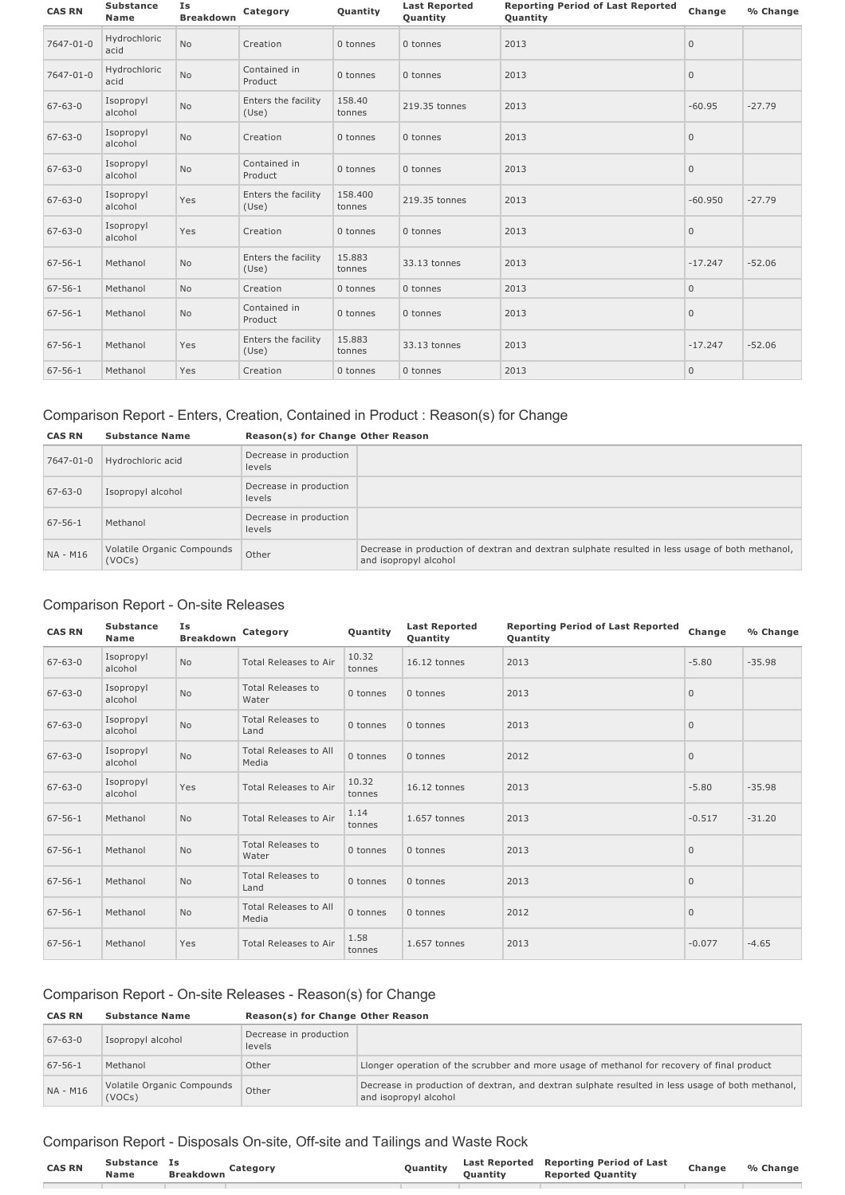| <b>CAS RN</b> | <b>Substance</b><br><b>Name</b> | Is<br><b>Breakdown</b> | Category                     | Quantity          | <b>Last Reported</b><br><b>Reporting Period of Last Reported</b><br>Quantity<br>Quantity |      | Change       | % Change |
|---------------|---------------------------------|------------------------|------------------------------|-------------------|------------------------------------------------------------------------------------------|------|--------------|----------|
| 7647-01-0     | Hydrochloric<br>acid            | <b>No</b>              | Creation                     | 0 tonnes          | 0 tonnes                                                                                 | 2013 | $\mathbf{0}$ |          |
| 7647-01-0     | Hydrochloric<br>acid            | No                     | Contained in<br>Product      | 0 tonnes          | 0 tonnes                                                                                 | 2013 | $\mathbf{0}$ |          |
| $67 - 63 - 0$ | Isopropyl<br>alcohol            | No                     | Enters the facility<br>(Use) | 158.40<br>tonnes  | 219.35 tonnes                                                                            | 2013 | $-60.95$     | $-27.79$ |
| $67 - 63 - 0$ | Isopropyl<br>alcohol            | No                     | Creation                     | 0 tonnes          | 0 tonnes                                                                                 | 2013 | $\mathbf{0}$ |          |
| $67 - 63 - 0$ | Isopropyl<br>alcohol            | No                     | Contained in<br>Product      | 0 tonnes          | 0 tonnes                                                                                 | 2013 | $\mathbf{0}$ |          |
| $67 - 63 - 0$ | Isopropyl<br>alcohol            | Yes                    | Enters the facility<br>(Use) | 158,400<br>tonnes | 219.35 tonnes                                                                            | 2013 | $-60.950$    | $-27.79$ |
| $67 - 63 - 0$ | Isopropyl<br>alcohol            | Yes                    | Creation                     | 0 tonnes          | 0 tonnes                                                                                 | 2013 | $\mathbf 0$  |          |
| $67 - 56 - 1$ | Methanol                        | <b>No</b>              | Enters the facility<br>(Use) | 15.883<br>tonnes  | 33.13 tonnes                                                                             | 2013 | $-17.247$    | $-52.06$ |
| $67 - 56 - 1$ | Methanol                        | No                     | Creation                     | 0 tonnes          | 0 tonnes                                                                                 | 2013 | $\mathbf{0}$ |          |
| $67 - 56 - 1$ | Methanol                        | No                     | Contained in<br>Product      | 0 tonnes          | 0 tonnes                                                                                 | 2013 | $\mathbb O$  |          |
| $67 - 56 - 1$ | Methanol                        | Yes                    | Enters the facility<br>(Use) | 15.883<br>tonnes  | 33.13 tonnes                                                                             | 2013 | $-17.247$    | $-52.06$ |
| $67 - 56 - 1$ | Methanol                        | Yes                    | Creation                     | 0 tonnes          | 0 tonnes                                                                                 | 2013 | $\mathbf 0$  |          |

# Comparison Report - Enters, Creation, Contained in Product : Reason(s) for Change

| <b>CAS RN</b> | <b>Substance Name</b>                | Reason(s) for Change Other Reason |                                                                                                                          |
|---------------|--------------------------------------|-----------------------------------|--------------------------------------------------------------------------------------------------------------------------|
| 7647-01-0     | Hydrochloric acid                    | Decrease in production<br>levels  |                                                                                                                          |
| $67 - 63 - 0$ | Isopropyl alcohol                    | Decrease in production<br>levels  |                                                                                                                          |
| $67 - 56 - 1$ | Methanol                             | Decrease in production<br>levels  |                                                                                                                          |
| NA - M16      | Volatile Organic Compounds<br>(VOCs) | Other                             | Decrease in production of dextran and dextran sulphate resulted in less usage of both methanol,<br>and isopropyl alcohol |

# Comparison Report - On-site Releases

| <b>CAS RN</b> | <b>Substance</b><br><b>Name</b> | Ιs<br><b>Breakdown</b> | Category                              | Quantity        | <b>Last Reported</b><br>Quantity | <b>Reporting Period of Last Reported</b><br>Quantity | Change       | % Change |
|---------------|---------------------------------|------------------------|---------------------------------------|-----------------|----------------------------------|------------------------------------------------------|--------------|----------|
| $67 - 63 - 0$ | Isopropyl<br>alcohol            | <b>No</b>              | Total Releases to Air                 | 10.32<br>tonnes | 16.12 tonnes                     | 2013                                                 | $-5.80$      | $-35.98$ |
| $67 - 63 - 0$ | Isopropyl<br>alcohol            | <b>No</b>              | <b>Total Releases to</b><br>Water     | 0 tonnes        | 0 tonnes                         | 2013                                                 | $\mathbf{0}$ |          |
| $67 - 63 - 0$ | Isopropyl<br>alcohol            | No                     | <b>Total Releases to</b><br>Land      | 0 tonnes        | 0 tonnes                         | 2013                                                 | $\mathbf{0}$ |          |
| $67 - 63 - 0$ | Isopropyl<br>alcohol            | No                     | <b>Total Releases to All</b><br>Media | 0 tonnes        | 0 tonnes                         | 2012                                                 | $\mathbf{0}$ |          |
| $67 - 63 - 0$ | Isopropyl<br>alcohol            | Yes                    | Total Releases to Air                 | 10.32<br>tonnes | 16.12 tonnes                     | 2013                                                 | $-5.80$      | $-35.98$ |
| $67 - 56 - 1$ | Methanol                        | <b>No</b>              | Total Releases to Air                 | 1.14<br>tonnes  | 1.657 tonnes                     | 2013                                                 | $-0.517$     | $-31.20$ |
| $67 - 56 - 1$ | Methanol                        | No                     | <b>Total Releases to</b><br>Water     | 0 tonnes        | 0 tonnes                         | 2013                                                 | $\mathbf{0}$ |          |
| $67 - 56 - 1$ | Methanol                        | No                     | <b>Total Releases to</b><br>Land      | 0 tonnes        | 0 tonnes                         | 2013                                                 | $\mathbf 0$  |          |
| $67 - 56 - 1$ | Methanol                        | No                     | <b>Total Releases to All</b><br>Media | 0 tonnes        | 0 tonnes                         | 2012                                                 | $\mathbf{0}$ |          |
| $67 - 56 - 1$ | Methanol                        | Yes                    | Total Releases to Air                 | 1.58<br>tonnes  | 1.657 tonnes                     | 2013                                                 | $-0.077$     | $-4.65$  |

### Comparison Report - On-site Releases - Reason(s) for Change

| <b>CAS RN</b> | <b>Substance Name</b>                | Reason(s) for Change Other Reason |                                                                                                                           |
|---------------|--------------------------------------|-----------------------------------|---------------------------------------------------------------------------------------------------------------------------|
| $67 - 63 - 0$ | Isopropyl alcohol                    | Decrease in production<br>levels  |                                                                                                                           |
| $67 - 56 - 1$ | Methanol                             | Other                             | Llonger operation of the scrubber and more usage of methanol for recovery of final product                                |
| NA - M16      | Volatile Organic Compounds<br>(VOCs) | Other                             | Decrease in production of dextran, and dextran sulphate resulted in less usage of both methanol,<br>and isopropyl alcohol |

# Comparison Report - Disposals On-site, Off-site and Tailings and Waste Rock

| <b>CAS RN</b> | <b>Substance</b><br><b>Name</b> | <b>Breakdown</b> | category | Quantity | Last Reported<br>Duantitv | <b>Reporting Period of Last</b><br><b>Reported Ouantity</b> | Change | % Change |
|---------------|---------------------------------|------------------|----------|----------|---------------------------|-------------------------------------------------------------|--------|----------|
|               |                                 |                  |          |          |                           |                                                             |        |          |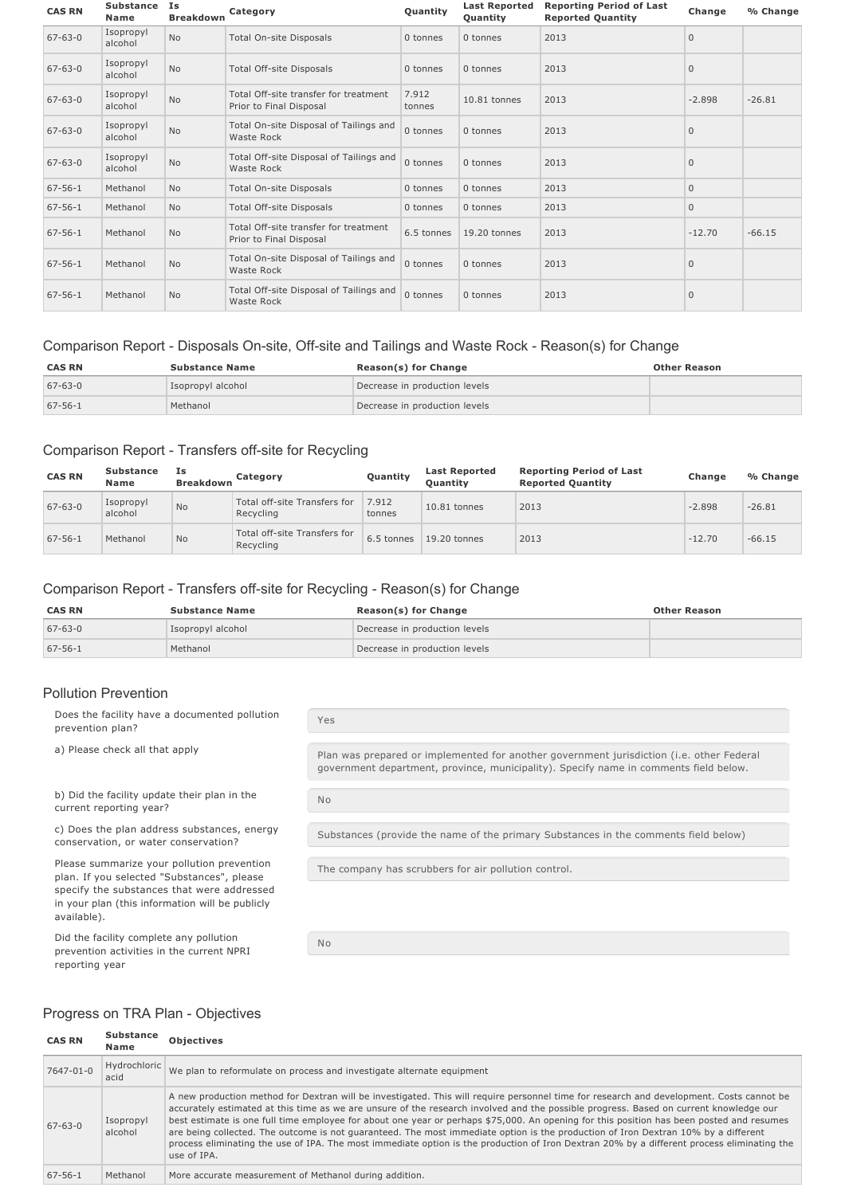| <b>CAS RN</b> | <b>Substance</b><br>Name | Is<br><b>Breakdown</b> | Category                                                         | Quantity        | <b>Last Reported</b><br>Quantity | <b>Reporting Period of Last</b><br><b>Reported Quantity</b> | Change       | % Change |
|---------------|--------------------------|------------------------|------------------------------------------------------------------|-----------------|----------------------------------|-------------------------------------------------------------|--------------|----------|
| $67 - 63 - 0$ | Isopropyl<br>alcohol     | <b>No</b>              | Total On-site Disposals                                          | 0 tonnes        | 0 tonnes                         | 2013                                                        | $\Omega$     |          |
| $67 - 63 - 0$ | Isopropyl<br>alcohol     | <b>No</b>              | Total Off-site Disposals                                         | 0 tonnes        | 0 tonnes                         | 2013                                                        | $\mathbf{0}$ |          |
| $67 - 63 - 0$ | Isopropyl<br>alcohol     | <b>No</b>              | Total Off-site transfer for treatment<br>Prior to Final Disposal | 7.912<br>tonnes | 10.81 tonnes                     | 2013                                                        | $-2.898$     | $-26.81$ |
| $67 - 63 - 0$ | Isopropyl<br>alcohol     | <b>No</b>              | Total On-site Disposal of Tailings and<br>Waste Rock             | 0 tonnes        | 0 tonnes                         | 2013                                                        | $\Omega$     |          |
| $67 - 63 - 0$ | Isopropyl<br>alcohol     | <b>No</b>              | Total Off-site Disposal of Tailings and<br>Waste Rock            | 0 tonnes        | 0 tonnes                         | 2013                                                        | $\mathbf{0}$ |          |
| $67 - 56 - 1$ | Methanol                 | <b>No</b>              | Total On-site Disposals                                          | 0 tonnes        | 0 tonnes                         | 2013                                                        | $\mathbf{0}$ |          |
| $67 - 56 - 1$ | Methanol                 | <b>No</b>              | Total Off-site Disposals                                         | 0 tonnes        | 0 tonnes                         | 2013                                                        | $\mathbf{0}$ |          |
| $67 - 56 - 1$ | Methanol                 | <b>No</b>              | Total Off-site transfer for treatment<br>Prior to Final Disposal | 6.5 tonnes      | 19.20 tonnes                     | 2013                                                        | $-12.70$     | $-66.15$ |
| $67 - 56 - 1$ | Methanol                 | <b>No</b>              | Total On-site Disposal of Tailings and<br>Waste Rock             | 0 tonnes        | 0 tonnes                         | 2013                                                        | $\mathbf{0}$ |          |
| $67 - 56 - 1$ | Methanol                 | <b>No</b>              | Total Off-site Disposal of Tailings and<br>Waste Rock            | 0 tonnes        | 0 tonnes                         | 2013                                                        | $\mathbf{0}$ |          |

### Comparison Report - Disposals On-site, Off-site and Tailings and Waste Rock - Reason(s) for Change

| <b>CAS RN</b> | <b>Substance Name</b> | <b>Reason(s) for Change</b>   | <b>Other Reason</b> |
|---------------|-----------------------|-------------------------------|---------------------|
| $67 - 63 - 0$ | Isopropyl alcohol     | Decrease in production levels |                     |
| $67 - 56 - 1$ | Methanol              | Decrease in production levels |                     |

#### Comparison Report - Transfers off-site for Recycling

| <b>CAS RN</b> | <b>Substance</b><br>Name | Ιs<br><b>Breakdown</b> | Category                                  | Quantity        | <b>Last Reported</b><br><b>Ouantity</b> | <b>Reporting Period of Last</b><br><b>Reported Quantity</b> | Change   | % Change |
|---------------|--------------------------|------------------------|-------------------------------------------|-----------------|-----------------------------------------|-------------------------------------------------------------|----------|----------|
| $67 - 63 - 0$ | Isopropyl<br>alcohol     | <b>No</b>              | Total off-site Transfers for<br>Recycling | 7.912<br>tonnes | $10.81$ tonnes                          | 2013                                                        | $-2.898$ | $-26.81$ |
| $67 - 56 - 1$ | Methanol                 | <b>No</b>              | Total off-site Transfers for<br>Recycling | 6.5 tonnes      | $19.20$ tonnes                          | 2013                                                        | $-12.70$ | $-66.15$ |

### Comparison Report - Transfers off-site for Recycling - Reason(s) for Change

| <b>CAS RN</b> | <b>Substance Name</b> | <b>Reason(s) for Change</b>   | <b>Other Reason</b> |
|---------------|-----------------------|-------------------------------|---------------------|
| $67 - 63 - 0$ | Isopropyl alcohol     | Decrease in production levels |                     |
| $67 - 56 - 1$ | Methanol              | Decrease in production levels |                     |

#### Pollution Prevention

Does the facility have a documented pollution prevention plan? Yes a) Please check all that apply **Plan was prepared or implemented for another government jurisdiction (i.e. other Federal** government department, province, municipality). Specify name in comments field below. b) Did the facility update their plan in the current reporting year? No

c) Does the plan address substances, energy conservation, or water conservation?

Please summarize your pollution prevention plan. If you selected "Substances", please specify the substances that were addressed in your plan (this information will be publicly available).

Did the facility complete any pollution prevention activities in the current NPRI reporting year

Substances (provide the name of the primary Substances in the comments field below)

The company has scrubbers for air pollution control.

No

# Progress on TRA Plan - Objectives

| <b>CAS RN</b> | Substance<br>Name    | <b>Objectives</b>                                                                                                                                                                                                                                                                                                                                                                                                                                                                                                                                                                                                                                                                                                                |
|---------------|----------------------|----------------------------------------------------------------------------------------------------------------------------------------------------------------------------------------------------------------------------------------------------------------------------------------------------------------------------------------------------------------------------------------------------------------------------------------------------------------------------------------------------------------------------------------------------------------------------------------------------------------------------------------------------------------------------------------------------------------------------------|
| 7647-01-0     | Hydrochloric<br>acid | We plan to reformulate on process and investigate alternate equipment                                                                                                                                                                                                                                                                                                                                                                                                                                                                                                                                                                                                                                                            |
| $67 - 63 - 0$ | Isopropyl<br>alcohol | A new production method for Dextran will be investigated. This will require personnel time for research and development. Costs cannot be<br>accurately estimated at this time as we are unsure of the research involved and the possible progress. Based on current knowledge our<br>best estimate is one full time employee for about one year or perhaps \$75,000. An opening for this position has been posted and resumes<br>are being collected. The outcome is not quaranteed. The most immediate option is the production of Iron Dextran 10% by a different<br>process eliminating the use of IPA. The most immediate option is the production of Iron Dextran 20% by a different process eliminating the<br>use of IPA. |
| $67 - 56 - 1$ | Methanol             | More accurate measurement of Methanol during addition.                                                                                                                                                                                                                                                                                                                                                                                                                                                                                                                                                                                                                                                                           |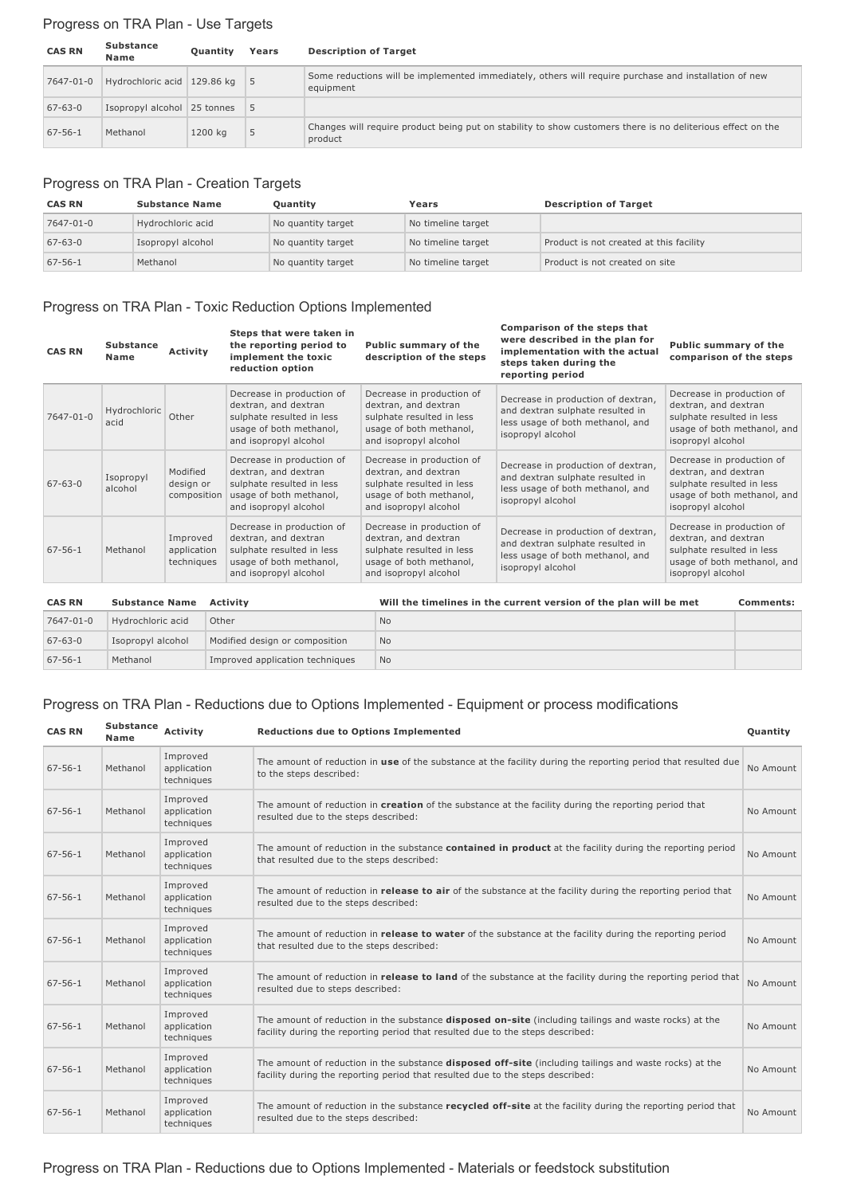# Progress on TRA Plan - Use Targets

| <b>CAS RN</b> | <b>Substance</b><br><b>Name</b> | <b>Ouantity</b> | Years | <b>Description of Target</b>                                                                                           |
|---------------|---------------------------------|-----------------|-------|------------------------------------------------------------------------------------------------------------------------|
| 7647-01-0     | Hydrochloric acid 129.86 kg 5   |                 |       | Some reductions will be implemented immediately, others will require purchase and installation of new<br>equipment     |
| $67 - 63 - 0$ | Isopropyl alcohol 25 tonnes 5   |                 |       |                                                                                                                        |
| $67 - 56 - 1$ | Methanol                        | 1200 kg         | 5     | Changes will require product being put on stability to show customers there is no deliterious effect on the<br>product |

# Progress on TRA Plan - Creation Targets

| <b>CAS RN</b> | <b>Substance Name</b> | Quantity           | Years              | <b>Description of Target</b>            |
|---------------|-----------------------|--------------------|--------------------|-----------------------------------------|
| 7647-01-0     | Hydrochloric acid     | No quantity target | No timeline target |                                         |
| $67 - 63 - 0$ | Isopropyl alcohol     | No quantity target | No timeline target | Product is not created at this facility |
| $67 - 56 - 1$ | Methanol              | No quantity target | No timeline target | Product is not created on site          |

# Progress on TRA Plan - Toxic Reduction Options Implemented

| <b>CAS RN</b> | <b>Substance</b><br>Name | <b>Activity</b>                       | Steps that were taken in<br>the reporting period to<br>implement the toxic<br>reduction option                                     | Public summary of the<br>description of the steps                                                                                  | Comparison of the steps that<br>were described in the plan for<br>implementation with the actual<br>steps taken during the<br>reporting period | <b>Public summary of the</b><br>comparison of the steps                                                                            |
|---------------|--------------------------|---------------------------------------|------------------------------------------------------------------------------------------------------------------------------------|------------------------------------------------------------------------------------------------------------------------------------|------------------------------------------------------------------------------------------------------------------------------------------------|------------------------------------------------------------------------------------------------------------------------------------|
| 7647-01-0     | Hydrochloric<br>acid     | Other                                 | Decrease in production of<br>dextran, and dextran<br>sulphate resulted in less<br>usage of both methanol,<br>and isopropyl alcohol | Decrease in production of<br>dextran, and dextran<br>sulphate resulted in less<br>usage of both methanol,<br>and isopropyl alcohol | Decrease in production of dextran,<br>and dextran sulphate resulted in<br>less usage of both methanol, and<br>isopropyl alcohol                | Decrease in production of<br>dextran, and dextran<br>sulphate resulted in less<br>usage of both methanol, and<br>isopropyl alcohol |
| $67 - 63 - 0$ | Isopropyl<br>alcohol     | Modified<br>design or<br>composition  | Decrease in production of<br>dextran, and dextran<br>sulphate resulted in less<br>usage of both methanol,<br>and isopropyl alcohol | Decrease in production of<br>dextran, and dextran<br>sulphate resulted in less<br>usage of both methanol,<br>and isopropyl alcohol | Decrease in production of dextran,<br>and dextran sulphate resulted in<br>less usage of both methanol, and<br>isopropyl alcohol                | Decrease in production of<br>dextran, and dextran<br>sulphate resulted in less<br>usage of both methanol, and<br>isopropyl alcohol |
| $67 - 56 - 1$ | Methanol                 | Improved<br>application<br>techniques | Decrease in production of<br>dextran, and dextran<br>sulphate resulted in less<br>usage of both methanol,<br>and isopropyl alcohol | Decrease in production of<br>dextran, and dextran<br>sulphate resulted in less<br>usage of both methanol,<br>and isopropyl alcohol | Decrease in production of dextran,<br>and dextran sulphate resulted in<br>less usage of both methanol, and<br>isopropyl alcohol                | Decrease in production of<br>dextran, and dextran<br>sulphate resulted in less<br>usage of both methanol, and<br>isopropyl alcohol |

| <b>CAS RN</b> | <b>Substance Name</b> | Activity                        | Will the timelines in the current version of the plan will be met | Comments: |
|---------------|-----------------------|---------------------------------|-------------------------------------------------------------------|-----------|
| 7647-01-0     | Hydrochloric acid     | Other                           | No.                                                               |           |
| $67 - 63 - 0$ | Isopropyl alcohol     | Modified design or composition  | <b>No</b>                                                         |           |
| $67 - 56 - 1$ | Methanol              | Improved application techniques | <b>No</b>                                                         |           |

# Progress on TRA Plan - Reductions due to Options Implemented - Equipment or process modifications

| <b>CAS RN</b> | Substance<br><b>Name</b> | Activity                              | <b>Reductions due to Options Implemented</b>                                                                                                                                                    | Quantity  |
|---------------|--------------------------|---------------------------------------|-------------------------------------------------------------------------------------------------------------------------------------------------------------------------------------------------|-----------|
| $67 - 56 - 1$ | Methanol                 | Improved<br>application<br>techniques | The amount of reduction in use of the substance at the facility during the reporting period that resulted due<br>to the steps described:                                                        | No Amount |
| $67 - 56 - 1$ | Methanol                 | Improved<br>application<br>techniques | The amount of reduction in <b>creation</b> of the substance at the facility during the reporting period that<br>resulted due to the steps described:                                            | No Amount |
| $67 - 56 - 1$ | Methanol                 | Improved<br>application<br>techniques | The amount of reduction in the substance contained in product at the facility during the reporting period<br>that resulted due to the steps described:                                          | No Amount |
| $67 - 56 - 1$ | Methanol                 | Improved<br>application<br>techniques | The amount of reduction in <b>release to air</b> of the substance at the facility during the reporting period that<br>resulted due to the steps described:                                      | No Amount |
| $67 - 56 - 1$ | Methanol                 | Improved<br>application<br>techniques | The amount of reduction in <b>release to water</b> of the substance at the facility during the reporting period<br>that resulted due to the steps described:                                    | No Amount |
| $67 - 56 - 1$ | Methanol                 | Improved<br>application<br>techniques | The amount of reduction in release to land of the substance at the facility during the reporting period that<br>resulted due to steps described:                                                | No Amount |
| $67 - 56 - 1$ | Methanol                 | Improved<br>application<br>techniques | The amount of reduction in the substance <b>disposed on-site</b> (including tailings and waste rocks) at the<br>facility during the reporting period that resulted due to the steps described:  | No Amount |
| $67 - 56 - 1$ | Methanol                 | Improved<br>application<br>techniques | The amount of reduction in the substance <b>disposed off-site</b> (including tailings and waste rocks) at the<br>facility during the reporting period that resulted due to the steps described: | No Amount |
| $67 - 56 - 1$ | Methanol                 | Improved<br>application<br>techniques | The amount of reduction in the substance recycled off-site at the facility during the reporting period that<br>resulted due to the steps described:                                             | No Amount |

# Progress on TRA Plan - Reductions due to Options Implemented - Materials or feedstock substitution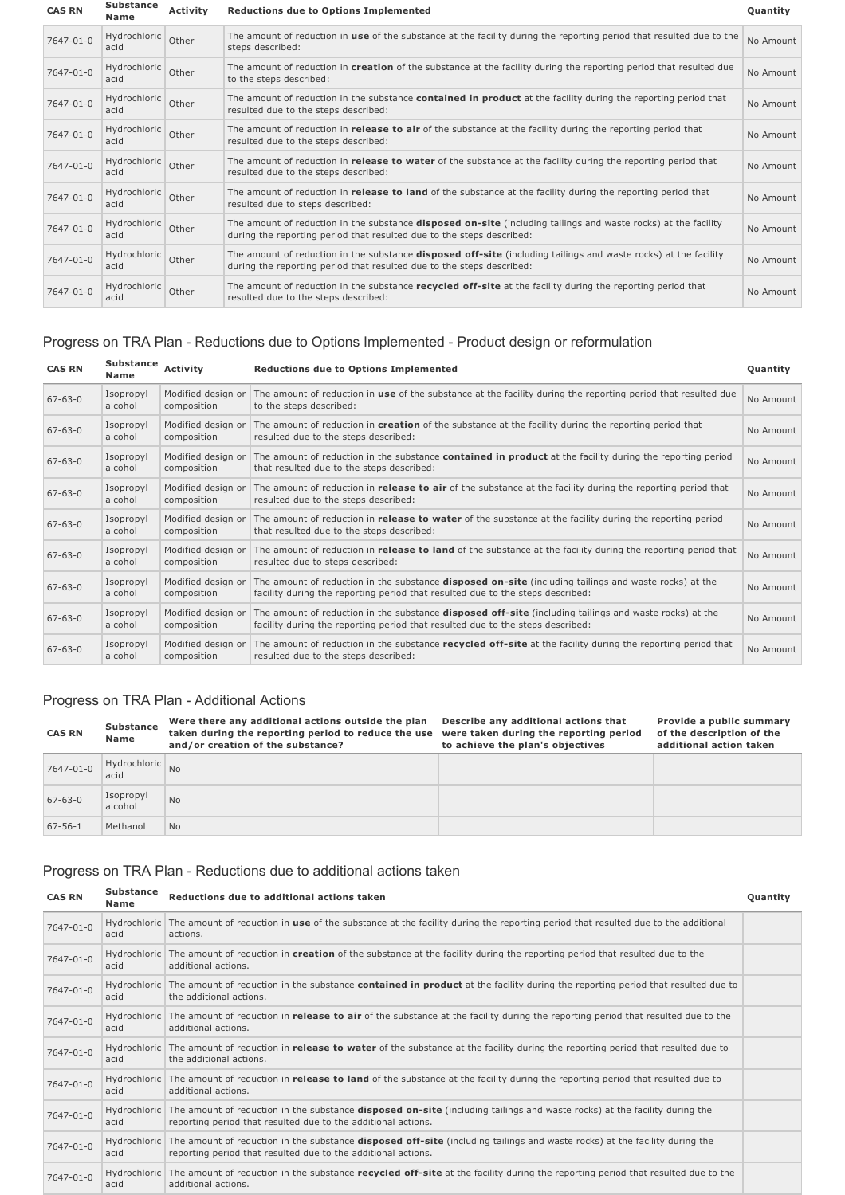| <b>CAS RN</b>   | <b>Substance</b><br>Name | <b>Activity</b> | <b>Reductions due to Options Implemented</b>                                                                                                                                                    | Quantity  |
|-----------------|--------------------------|-----------------|-------------------------------------------------------------------------------------------------------------------------------------------------------------------------------------------------|-----------|
| 7647-01-0       | Hydrochloric<br>acid     | Other           | The amount of reduction in use of the substance at the facility during the reporting period that resulted due to the<br>steps described:                                                        | No Amount |
| 7647-01-0       | Hydrochloric<br>acid     | Other           | The amount of reduction in creation of the substance at the facility during the reporting period that resulted due<br>to the steps described:                                                   | No Amount |
| 7647-01-0       | Hydrochloric<br>acid     | Other           | The amount of reduction in the substance <b>contained in product</b> at the facility during the reporting period that<br>resulted due to the steps described:                                   | No Amount |
| 7647-01-0       | Hydrochloric<br>acid     | Other           | The amount of reduction in <b>release to air</b> of the substance at the facility during the reporting period that<br>resulted due to the steps described:                                      | No Amount |
| 7647-01-0       | Hydrochloric<br>acid     | Other           | The amount of reduction in <b>release to water</b> of the substance at the facility during the reporting period that<br>resulted due to the steps described:                                    | No Amount |
| 7647-01-0       | Hydrochloric<br>acid     | Other           | The amount of reduction in release to land of the substance at the facility during the reporting period that<br>resulted due to steps described:                                                | No Amount |
| 7647-01-0       | Hydrochloric<br>acid     | Other           | The amount of reduction in the substance <b>disposed on-site</b> (including tailings and waste rocks) at the facility<br>during the reporting period that resulted due to the steps described:  | No Amount |
| 7647-01-0       | Hydrochloric<br>acid     | Other           | The amount of reduction in the substance <b>disposed off-site</b> (including tailings and waste rocks) at the facility<br>during the reporting period that resulted due to the steps described: | No Amount |
| $7647 - 01 - 0$ | Hydrochloric<br>acid     | Other           | The amount of reduction in the substance recycled off-site at the facility during the reporting period that<br>resulted due to the steps described:                                             | No Amount |

# Progress on TRA Plan - Reductions due to Options Implemented - Product design or reformulation

| <b>CAS RN</b> | Substance<br>Name    | Activity                          | <b>Reductions due to Options Implemented</b>                                                                                                                                                    | Quantity  |
|---------------|----------------------|-----------------------------------|-------------------------------------------------------------------------------------------------------------------------------------------------------------------------------------------------|-----------|
| $67 - 63 - 0$ | Isopropyl<br>alcohol | Modified design or<br>composition | The amount of reduction in use of the substance at the facility during the reporting period that resulted due<br>to the steps described:                                                        | No Amount |
| $67 - 63 - 0$ | Isopropyl<br>alcohol | Modified design or<br>composition | The amount of reduction in <b>creation</b> of the substance at the facility during the reporting period that<br>resulted due to the steps described:                                            | No Amount |
| $67 - 63 - 0$ | Isopropyl<br>alcohol | Modified design or<br>composition | The amount of reduction in the substance <b>contained in product</b> at the facility during the reporting period<br>that resulted due to the steps described:                                   | No Amount |
| $67 - 63 - 0$ | Isopropyl<br>alcohol | Modified design or<br>composition | The amount of reduction in <b>release to air</b> of the substance at the facility during the reporting period that<br>resulted due to the steps described:                                      | No Amount |
| $67 - 63 - 0$ | Isopropyl<br>alcohol | Modified design or<br>composition | The amount of reduction in <b>release to water</b> of the substance at the facility during the reporting period<br>that resulted due to the steps described:                                    | No Amount |
| $67 - 63 - 0$ | Isopropyl<br>alcohol | Modified design or<br>composition | The amount of reduction in release to land of the substance at the facility during the reporting period that<br>resulted due to steps described:                                                | No Amount |
| $67 - 63 - 0$ | Isopropyl<br>alcohol | Modified design or<br>composition | The amount of reduction in the substance <b>disposed on-site</b> (including tailings and waste rocks) at the<br>facility during the reporting period that resulted due to the steps described:  | No Amount |
| $67 - 63 - 0$ | Isopropyl<br>alcohol | Modified design or<br>composition | The amount of reduction in the substance <b>disposed off-site</b> (including tailings and waste rocks) at the<br>facility during the reporting period that resulted due to the steps described: | No Amount |
| $67 - 63 - 0$ | Isopropyl<br>alcohol | Modified design or<br>composition | The amount of reduction in the substance recycled off-site at the facility during the reporting period that<br>resulted due to the steps described:                                             | No Amount |

# Progress on TRA Plan - Additional Actions

| <b>CAS RN</b> | <b>Substance</b><br>Name | Were there any additional actions outside the plan<br>taken during the reporting period to reduce the use<br>and/or creation of the substance? | Describe any additional actions that<br>were taken during the reporting period<br>to achieve the plan's objectives | Provide a public summary<br>of the description of the<br>additional action taken |
|---------------|--------------------------|------------------------------------------------------------------------------------------------------------------------------------------------|--------------------------------------------------------------------------------------------------------------------|----------------------------------------------------------------------------------|
| 7647-01-0     | Hydrochloric No<br>acid  |                                                                                                                                                |                                                                                                                    |                                                                                  |
| $67 - 63 - 0$ | Isopropyl<br>alcohol     | <b>No</b>                                                                                                                                      |                                                                                                                    |                                                                                  |
| $67 - 56 - 1$ | Methanol                 | <b>No</b>                                                                                                                                      |                                                                                                                    |                                                                                  |

# Progress on TRA Plan - Reductions due to additional actions taken

**CAS RN Substance Name Reductions due to additional actions taken Quantity**

|  | Juant |  |  |
|--|-------|--|--|

|  | 7647-01-0 | Hydrochloric<br>acid | The amount of reduction in use of the substance at the facility during the reporting period that resulted due to the additional<br>actions.                                                        |  |
|--|-----------|----------------------|----------------------------------------------------------------------------------------------------------------------------------------------------------------------------------------------------|--|
|  | 7647-01-0 | Hydrochloric<br>acid | The amount of reduction in creation of the substance at the facility during the reporting period that resulted due to the<br>additional actions.                                                   |  |
|  | 7647-01-0 | Hydrochloric<br>acid | The amount of reduction in the substance <b>contained in product</b> at the facility during the reporting period that resulted due to<br>the additional actions.                                   |  |
|  | 7647-01-0 | Hydrochloric<br>acid | The amount of reduction in <b>release to air</b> of the substance at the facility during the reporting period that resulted due to the<br>additional actions.                                      |  |
|  | 7647-01-0 | acid                 | Hydrochloric The amount of reduction in release to water of the substance at the facility during the reporting period that resulted due to<br>the additional actions.                              |  |
|  | 7647-01-0 | Hydrochloric<br>acid | The amount of reduction in <b>release to land</b> of the substance at the facility during the reporting period that resulted due to<br>additional actions.                                         |  |
|  | 7647-01-0 | Hydrochloric<br>acid | The amount of reduction in the substance disposed on-site (including tailings and waste rocks) at the facility during the<br>reporting period that resulted due to the additional actions.         |  |
|  | 7647-01-0 | Hydrochloric<br>acid | The amount of reduction in the substance <b>disposed off-site</b> (including tailings and waste rocks) at the facility during the<br>reporting period that resulted due to the additional actions. |  |
|  | 7647-01-0 | Hydrochloric<br>acid | The amount of reduction in the substance recycled off-site at the facility during the reporting period that resulted due to the<br>additional actions.                                             |  |
|  |           |                      |                                                                                                                                                                                                    |  |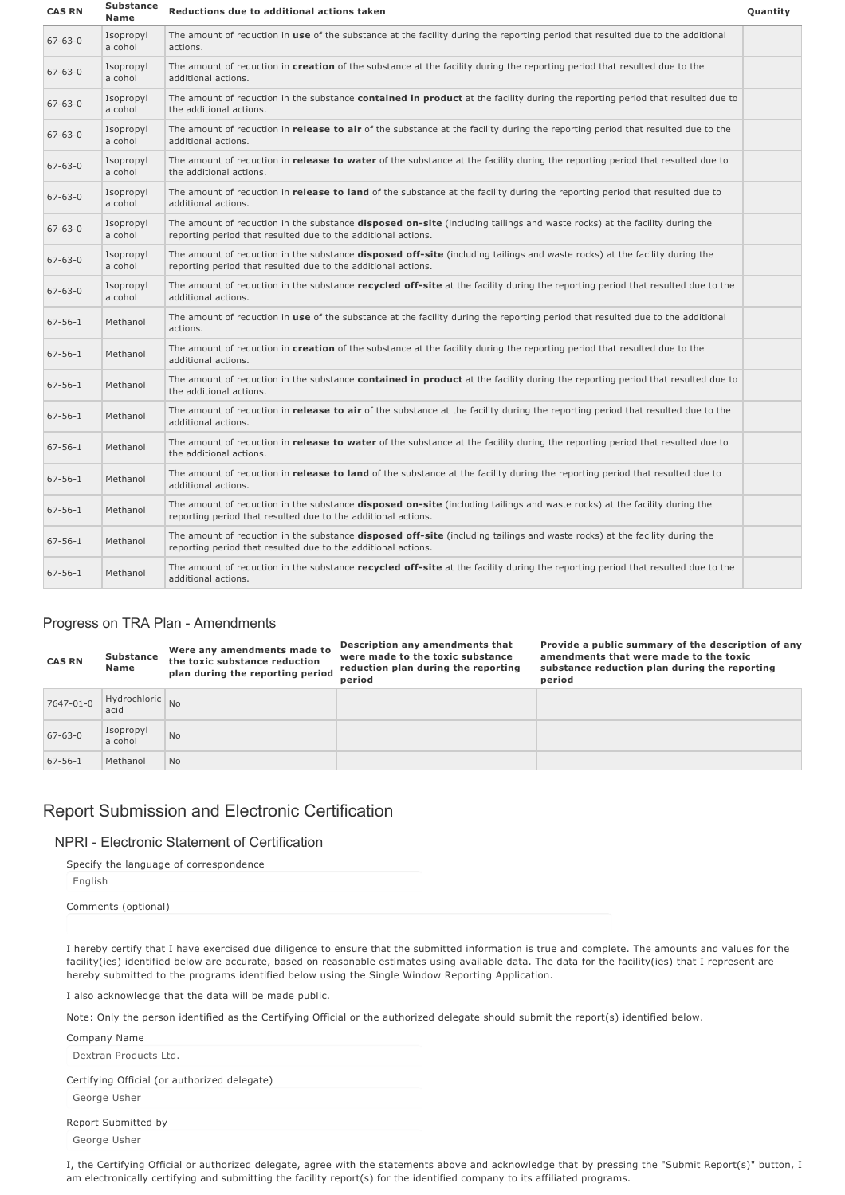| <b>CAS RN</b> | <b>Substance</b><br>Name | Reductions due to additional actions taken                                                                                                                                                         | Quantity |
|---------------|--------------------------|----------------------------------------------------------------------------------------------------------------------------------------------------------------------------------------------------|----------|
| $67 - 63 - 0$ | Isopropyl<br>alcohol     | The amount of reduction in use of the substance at the facility during the reporting period that resulted due to the additional<br>actions.                                                        |          |
| $67 - 63 - 0$ | Isopropyl<br>alcohol     | The amount of reduction in creation of the substance at the facility during the reporting period that resulted due to the<br>additional actions.                                                   |          |
| $67 - 63 - 0$ | Isopropyl<br>alcohol     | The amount of reduction in the substance contained in product at the facility during the reporting period that resulted due to<br>the additional actions.                                          |          |
| $67 - 63 - 0$ | Isopropyl<br>alcohol     | The amount of reduction in <b>release to air</b> of the substance at the facility during the reporting period that resulted due to the<br>additional actions.                                      |          |
| $67 - 63 - 0$ | Isopropyl<br>alcohol     | The amount of reduction in release to water of the substance at the facility during the reporting period that resulted due to<br>the additional actions.                                           |          |
| $67 - 63 - 0$ | Isopropyl<br>alcohol     | The amount of reduction in release to land of the substance at the facility during the reporting period that resulted due to<br>additional actions.                                                |          |
| $67 - 63 - 0$ | Isopropyl<br>alcohol     | The amount of reduction in the substance <b>disposed on-site</b> (including tailings and waste rocks) at the facility during the<br>reporting period that resulted due to the additional actions.  |          |
| $67 - 63 - 0$ | Isopropyl<br>alcohol     | The amount of reduction in the substance <b>disposed off-site</b> (including tailings and waste rocks) at the facility during the<br>reporting period that resulted due to the additional actions. |          |
| $67 - 63 - 0$ | Isopropyl<br>alcohol     | The amount of reduction in the substance recycled off-site at the facility during the reporting period that resulted due to the<br>additional actions.                                             |          |
| $67 - 56 - 1$ | Methanol                 | The amount of reduction in use of the substance at the facility during the reporting period that resulted due to the additional<br>actions.                                                        |          |
| $67 - 56 - 1$ | Methanol                 | The amount of reduction in creation of the substance at the facility during the reporting period that resulted due to the<br>additional actions.                                                   |          |
| $67 - 56 - 1$ | Methanol                 | The amount of reduction in the substance contained in product at the facility during the reporting period that resulted due to<br>the additional actions.                                          |          |
| $67 - 56 - 1$ | Methanol                 | The amount of reduction in <b>release to air</b> of the substance at the facility during the reporting period that resulted due to the<br>additional actions.                                      |          |
| $67 - 56 - 1$ | Methanol                 | The amount of reduction in release to water of the substance at the facility during the reporting period that resulted due to<br>the additional actions.                                           |          |
| $67 - 56 - 1$ | Methanol                 | The amount of reduction in release to land of the substance at the facility during the reporting period that resulted due to<br>additional actions.                                                |          |
| $67 - 56 - 1$ | Methanol                 | The amount of reduction in the substance <b>disposed on-site</b> (including tailings and waste rocks) at the facility during the<br>reporting period that resulted due to the additional actions.  |          |
| $67 - 56 - 1$ | Methanol                 | The amount of reduction in the substance <b>disposed off-site</b> (including tailings and waste rocks) at the facility during the<br>reporting period that resulted due to the additional actions. |          |
| $67 - 56 - 1$ | Methanol                 | The amount of reduction in the substance recycled off-site at the facility during the reporting period that resulted due to the<br>additional actions.                                             |          |

#### Progress on TRA Plan - Amendments

| <b>CAS RN</b> | <b>Substance</b><br>Name | Were any amendments made to<br>the toxic substance reduction<br>plan during the reporting period | Description any amendments that<br>were made to the toxic substance<br>reduction plan during the reporting<br>period | Provide a public summary of the description of any<br>amendments that were made to the toxic<br>substance reduction plan during the reporting<br>period |
|---------------|--------------------------|--------------------------------------------------------------------------------------------------|----------------------------------------------------------------------------------------------------------------------|---------------------------------------------------------------------------------------------------------------------------------------------------------|
| 7647-01-0     | Hydrochloric No<br>acid  |                                                                                                  |                                                                                                                      |                                                                                                                                                         |
| $67 - 63 - 0$ | Isopropyl<br>alcohol     | No.                                                                                              |                                                                                                                      |                                                                                                                                                         |
| $67 - 56 - 1$ | Methanol                 | <b>No</b>                                                                                        |                                                                                                                      |                                                                                                                                                         |

# Report Submission and Electronic Certification

#### NPRI Electronic Statement of Certification

| Specify the language of correspondence |
|----------------------------------------|
| English                                |
| Comments (optional)                    |

I hereby certify that I have exercised due diligence to ensure that the submitted information is true and complete. The amounts and values for the facility(ies) identified below are accurate, based on reasonable estimates using available data. The data for the facility(ies) that I represent are hereby submitted to the programs identified below using the Single Window Reporting Application.

I also acknowledge that the data will be made public.

Note: Only the person identified as the Certifying Official or the authorized delegate should submit the report(s) identified below.

| Company Name                                 |
|----------------------------------------------|
| Dextran Products Ltd.                        |
| Certifying Official (or authorized delegate) |
| George Usher                                 |
| Report Submitted by                          |
| George Usher                                 |

I, the Certifying Official or authorized delegate, agree with the statements above and acknowledge that by pressing the "Submit Report(s)" button, I am electronically certifying and submitting the facility report(s) for the identified company to its affiliated programs.